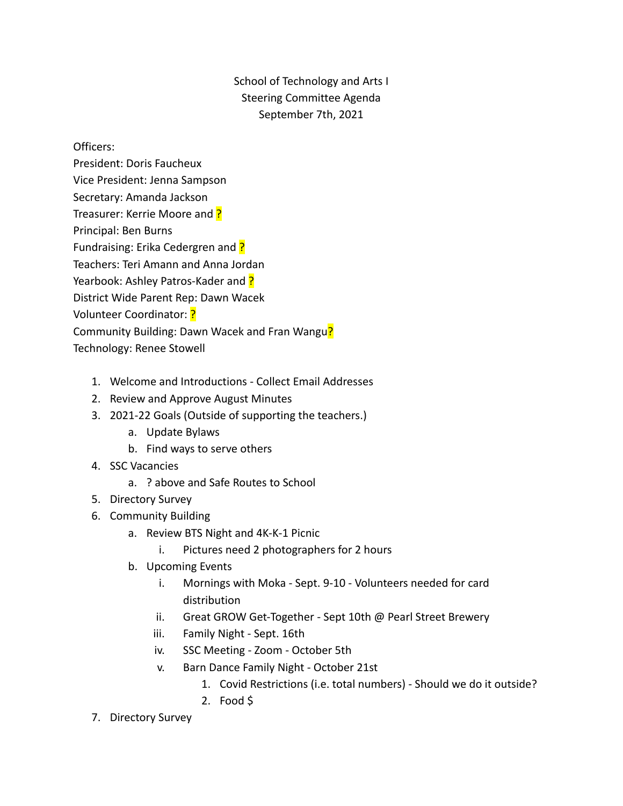School of Technology and Arts I Steering Committee Agenda September 7th, 2021

Officers:

- President: Doris Faucheux Vice President: Jenna Sampson Secretary: Amanda Jackson Treasurer: Kerrie Moore and ? Principal: Ben Burns Fundraising: Erika Cedergren and ? Teachers: Teri Amann and Anna Jordan Yearbook: Ashley Patros-Kader and ? District Wide Parent Rep: Dawn Wacek Volunteer Coordinator: ? Community Building: Dawn Wacek and Fran Wangu? Technology: Renee Stowell
	- 1. Welcome and Introductions Collect Email Addresses
	- 2. Review and Approve August Minutes
	- 3. 2021-22 Goals (Outside of supporting the teachers.)
		- a. Update Bylaws
		- b. Find ways to serve others
	- 4. SSC Vacancies
		- a. ? above and Safe Routes to School
	- 5. Directory Survey
	- 6. Community Building
		- a. Review BTS Night and 4K-K-1 Picnic
			- i. Pictures need 2 photographers for 2 hours
		- b. Upcoming Events
			- i. Mornings with Moka Sept. 9-10 Volunteers needed for card distribution
			- ii. Great GROW Get-Together Sept 10th @ Pearl Street Brewery
			- iii. Family Night Sept. 16th
			- iv. SSC Meeting Zoom October 5th
			- v. Barn Dance Family Night October 21st
				- 1. Covid Restrictions (i.e. total numbers) Should we do it outside?
				- 2. Food \$
	- 7. Directory Survey